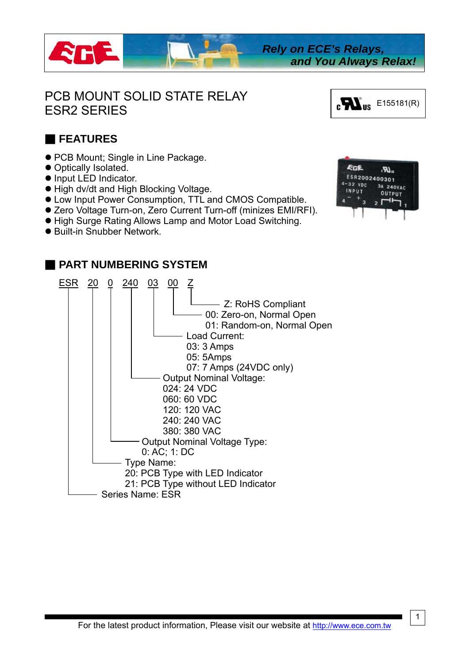

## PCB MOUNT SOLID STATE RELAY  $\mathsf{ESR2}$  SERIES ESR2 SERIES



 $\mu$ 

3A 240VAC

OUTPUT

**RGE** 

**INPUT** 

ESR2002400301  $-32$  VDC

## ■ **FEATURES**

- PCB Mount; Single in Line Package.
- Optically Isolated.
- **Input LED Indicator.**
- $\bullet$  High dv/dt and High Blocking Voltage.
- $\bullet$  Low Input Power Consumption, TTL and CMOS Compatible.
- Zero Voltage Turn-on, Zero Current Turn-off (minizes EMI/RFI).
- $\bullet$  High Surge Rating Allows Lamp and Motor Load Switching.
- Built-in Snubber Network.



1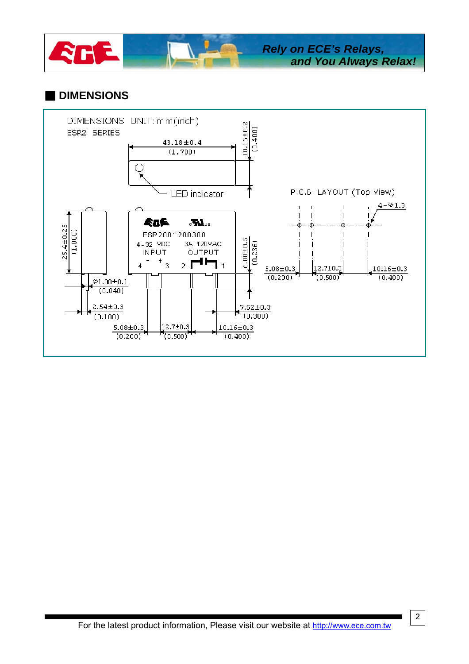

## ■ **DIMENSIONS**

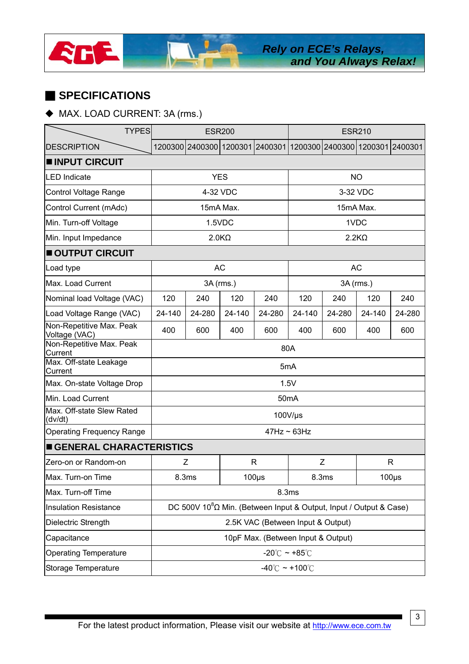

# ■ **SPECIFICATIONS**

### MAX. LOAD CURRENT: 3A (rms.)

| <b>TYPES</b>                              |        | <b>ESR200</b>                                                                  |        |              | <b>ESR210</b> |        |        |            |  |
|-------------------------------------------|--------|--------------------------------------------------------------------------------|--------|--------------|---------------|--------|--------|------------|--|
| <b>DESCRIPTION</b>                        |        | 1200300 2400300 1200301 2400301 1200300 2400300 1200301 2400301                |        |              |               |        |        |            |  |
| <b>INPUT CIRCUIT</b>                      |        |                                                                                |        |              |               |        |        |            |  |
| <b>LED Indicate</b>                       |        | <b>YES</b>                                                                     |        |              | <b>NO</b>     |        |        |            |  |
| <b>Control Voltage Range</b>              |        | 4-32 VDC                                                                       |        |              | 3-32 VDC      |        |        |            |  |
| Control Current (mAdc)                    |        | 15mA Max.                                                                      |        |              | 15mA Max.     |        |        |            |  |
| Min. Turn-off Voltage                     |        | 1.5VDC                                                                         |        |              | 1VDC          |        |        |            |  |
| Min. Input Impedance                      |        | $2.0K\Omega$                                                                   |        |              | $2.2K\Omega$  |        |        |            |  |
| OUTPUT CIRCUIT                            |        |                                                                                |        |              |               |        |        |            |  |
| Load type                                 |        | <b>AC</b>                                                                      |        |              | <b>AC</b>     |        |        |            |  |
| Max. Load Current                         |        | 3A (rms.)                                                                      |        |              | 3A (rms.)     |        |        |            |  |
| Nominal load Voltage (VAC)                | 120    | 240                                                                            | 120    | 240          | 120           | 240    | 120    | 240        |  |
| Load Voltage Range (VAC)                  | 24-140 | 24-280                                                                         | 24-140 | 24-280       | 24-140        | 24-280 | 24-140 | 24-280     |  |
| Non-Repetitive Max. Peak<br>Voltage (VAC) | 400    | 600                                                                            | 400    | 600          | 400           | 600    | 400    | 600        |  |
| Non-Repetitive Max. Peak<br>Current       |        | 80A                                                                            |        |              |               |        |        |            |  |
| Max. Off-state Leakage<br>Current         |        | 5mA                                                                            |        |              |               |        |        |            |  |
| Max. On-state Voltage Drop                |        | 1.5V                                                                           |        |              |               |        |        |            |  |
| Min. Load Current                         |        | 50 <sub>m</sub> A                                                              |        |              |               |        |        |            |  |
| Max. Off-state Slew Rated<br>(dv/dt)      |        | $100V/\mu s$                                                                   |        |              |               |        |        |            |  |
| <b>Operating Frequency Range</b>          |        | $47$ Hz ~ 63Hz                                                                 |        |              |               |        |        |            |  |
| GENERAL CHARACTERISTICS                   |        |                                                                                |        |              |               |        |        |            |  |
| Zero-on or Random-on                      |        | Z                                                                              |        | $\mathsf{R}$ |               | Z      |        | R          |  |
| Max. Turn-on Time                         |        | 8.3ms                                                                          |        | $100\mu$ s   |               | 8.3ms  |        | $100\mu s$ |  |
| Max. Turn-off Time                        |        | 8.3ms                                                                          |        |              |               |        |        |            |  |
| <b>Insulation Resistance</b>              |        | DC 500V 10 <sup>8</sup> Ω Min. (Between Input & Output, Input / Output & Case) |        |              |               |        |        |            |  |
| Dielectric Strength                       |        | 2.5K VAC (Between Input & Output)                                              |        |              |               |        |        |            |  |
| Capacitance                               |        | 10pF Max. (Between Input & Output)                                             |        |              |               |        |        |            |  |
| <b>Operating Temperature</b>              |        | -20 $\degree$ C ~ +85 $\degree$ C                                              |        |              |               |        |        |            |  |
| Storage Temperature                       |        | $-40^{\circ}$ C ~ +100 $^{\circ}$ C                                            |        |              |               |        |        |            |  |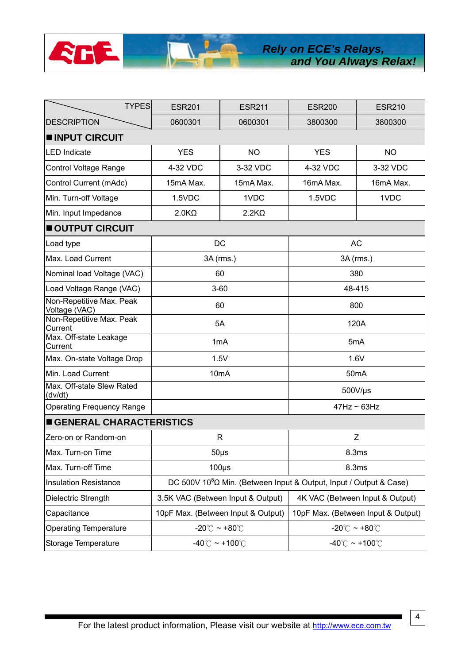| <b>TYPES</b>                              | <b>ESR201</b>                                                                  | <b>ESR211</b>                     | <b>ESR200</b>                       | <b>ESR210</b> |  |
|-------------------------------------------|--------------------------------------------------------------------------------|-----------------------------------|-------------------------------------|---------------|--|
| <b>DESCRIPTION</b>                        | 0600301                                                                        | 0600301                           | 3800300                             | 3800300       |  |
| <b>INPUT CIRCUIT</b>                      |                                                                                |                                   |                                     |               |  |
| <b>LED</b> Indicate                       | <b>YES</b>                                                                     | <b>NO</b>                         | <b>YES</b>                          | <b>NO</b>     |  |
| <b>Control Voltage Range</b>              | 4-32 VDC                                                                       | 3-32 VDC                          | 4-32 VDC                            | 3-32 VDC      |  |
| Control Current (mAdc)                    | 15mA Max.                                                                      | 15mA Max.                         | 16mA Max.                           | 16mA Max.     |  |
| Min. Turn-off Voltage                     | 1.5VDC                                                                         | 1VDC                              | 1.5VDC                              | 1VDC          |  |
| Min. Input Impedance                      | $2.0K\Omega$                                                                   | $2.2K\Omega$                      |                                     |               |  |
| OUTPUT CIRCUIT                            |                                                                                |                                   |                                     |               |  |
| Load type                                 |                                                                                | DC                                | AC                                  |               |  |
| Max. Load Current                         |                                                                                | 3A (rms.)                         | 3A (rms.)                           |               |  |
| Nominal load Voltage (VAC)                |                                                                                | 60                                | 380                                 |               |  |
| Load Voltage Range (VAC)                  |                                                                                | $3 - 60$                          | 48-415                              |               |  |
| Non-Repetitive Max. Peak<br>Voltage (VAC) |                                                                                | 60                                | 800                                 |               |  |
| Non-Repetitive Max. Peak<br>Current       |                                                                                | 5A                                | 120A                                |               |  |
| Max. Off-state Leakage<br>Current         |                                                                                | 1mA                               | 5mA                                 |               |  |
| Max. On-state Voltage Drop                |                                                                                | 1.5V                              | 1.6V                                |               |  |
| Min. Load Current                         |                                                                                | 10 <sub>m</sub> A                 | 50 <sub>m</sub> A                   |               |  |
| Max. Off-state Slew Rated<br>(dv/dt)      |                                                                                |                                   | $500V/\mu s$                        |               |  |
| <b>Operating Frequency Range</b>          |                                                                                |                                   | $47$ Hz ~ 63Hz                      |               |  |
| GENERAL CHARACTERISTICS                   |                                                                                |                                   |                                     |               |  |
| Zero-on or Random-on                      |                                                                                | R                                 | Z                                   |               |  |
| Max. Turn-on Time                         |                                                                                | $50\mu$ s                         | 8.3ms                               |               |  |
| Max. Turn-off Time                        | $100\mu s$                                                                     |                                   | 8.3ms                               |               |  |
| <b>Insulation Resistance</b>              | DC 500V 10 <sup>8</sup> Ω Min. (Between Input & Output, Input / Output & Case) |                                   |                                     |               |  |
| Dielectric Strength                       |                                                                                | 3.5K VAC (Between Input & Output) | 4K VAC (Between Input & Output)     |               |  |
| Capacitance                               | 10pF Max. (Between Input & Output)                                             |                                   | 10pF Max. (Between Input & Output)  |               |  |
| <b>Operating Temperature</b>              | -20 $\degree$ C ~ +80 $\degree$ C                                              |                                   | -20 $\degree$ C ~ +80 $\degree$ C   |               |  |
| Storage Temperature                       | $-40^{\circ}$ C ~ +100 $^{\circ}$ C                                            |                                   | $-40^{\circ}$ C ~ +100 $^{\circ}$ C |               |  |

**AGE** 

4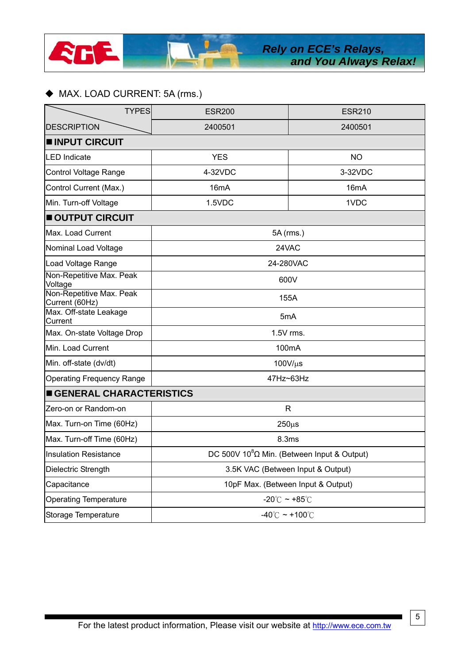

### MAX. LOAD CURRENT: 5A (rms.)

| <b>TYPES</b>                               | <b>ESR200</b>                                              | <b>ESR210</b>     |  |
|--------------------------------------------|------------------------------------------------------------|-------------------|--|
| <b>DESCRIPTION</b>                         | 2400501                                                    | 2400501           |  |
| <b>INPUT CIRCUIT</b>                       |                                                            |                   |  |
| <b>LED Indicate</b>                        | <b>YES</b>                                                 | <b>NO</b>         |  |
| Control Voltage Range                      | 4-32VDC                                                    | 3-32VDC           |  |
| Control Current (Max.)                     | 16mA                                                       | 16 <sub>m</sub> A |  |
| Min. Turn-off Voltage                      | 1.5VDC                                                     | 1VDC              |  |
| OUTPUT CIRCUIT                             |                                                            |                   |  |
| Max. Load Current                          | 5A (rms.)                                                  |                   |  |
| Nominal Load Voltage                       | 24VAC                                                      |                   |  |
| Load Voltage Range                         | 24-280VAC                                                  |                   |  |
| Non-Repetitive Max. Peak<br>Voltage        | 600V                                                       |                   |  |
| Non-Repetitive Max. Peak<br>Current (60Hz) | 155A                                                       |                   |  |
| Max. Off-state Leakage<br>Current          | 5 <sub>m</sub> A                                           |                   |  |
| Max. On-state Voltage Drop                 | 1.5V rms.                                                  |                   |  |
| Min. Load Current                          | 100mA                                                      |                   |  |
| Min. off-state (dv/dt)                     | $100V/\mu s$                                               |                   |  |
| <b>Operating Frequency Range</b>           | 47Hz~63Hz                                                  |                   |  |
| ■ GENERAL CHARACTERISTICS                  |                                                            |                   |  |
| Zero-on or Random-on                       | R                                                          |                   |  |
| Max. Turn-on Time (60Hz)                   | $250\mu s$                                                 |                   |  |
| Max. Turn-off Time (60Hz)                  | 8.3ms                                                      |                   |  |
| <b>Insulation Resistance</b>               | DC 500V 10 ${}^{8}$ $\Omega$ Min. (Between Input & Output) |                   |  |
| Dielectric Strength                        | 3.5K VAC (Between Input & Output)                          |                   |  |
| Capacitance                                | 10pF Max. (Between Input & Output)                         |                   |  |
| <b>Operating Temperature</b>               | $-20^{\circ}$ C ~ +85 $^{\circ}$ C                         |                   |  |
| Storage Temperature                        | $-40^{\circ}$ C ~ +100 $^{\circ}$ C                        |                   |  |

5